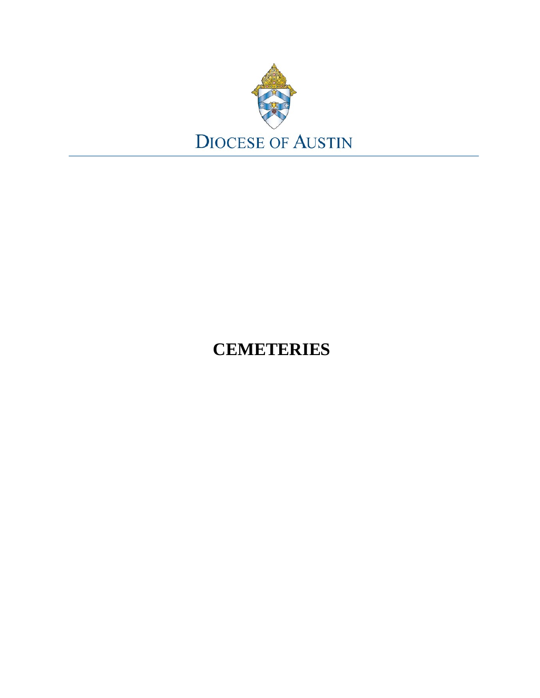

# **CEMETERIES**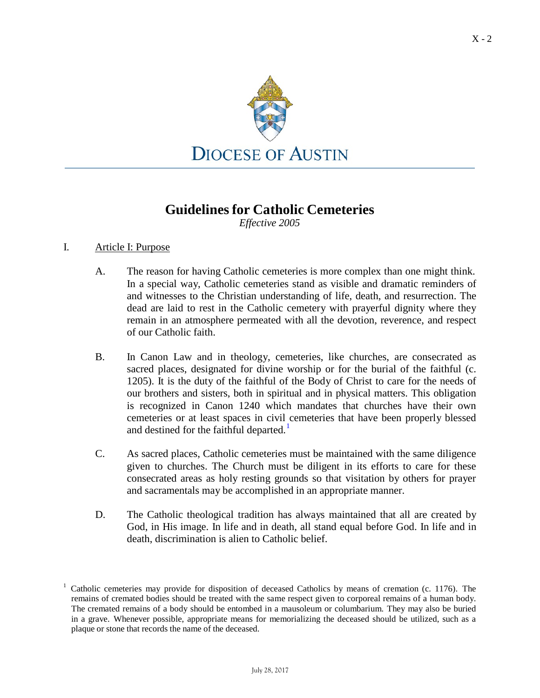

## **Guidelines for Catholic Cemeteries**

*Effective 2005*

### I. Article I: Purpose

- A. The reason for having Catholic cemeteries is more complex than one might think. In a special way, Catholic cemeteries stand as visible and dramatic reminders of and witnesses to the Christian understanding of life, death, and resurrection. The dead are laid to rest in the Catholic cemetery with prayerful dignity where they remain in an atmosphere permeated with all the devotion, reverence, and respect of our Catholic faith.
- B. In Canon Law and in theology, cemeteries, like churches, are consecrated as sacred places, designated for divine worship or for the burial of the faithful (c. 1205). It is the duty of the faithful of the Body of Christ to care for the needs of our brothers and sisters, both in spiritual and in physical matters. This obligation is recognized in Canon 1240 which mandates that churches have their own cemeteries or at least spaces in civil cemeteries that have been properly blessed and destined for the faithful departed.<sup>[1](#page-1-0)</sup>
- C. As sacred places, Catholic cemeteries must be maintained with the same diligence given to churches. The Church must be diligent in its efforts to care for these consecrated areas as holy resting grounds so that visitation by others for prayer and sacramentals may be accomplished in an appropriate manner.
- D. The Catholic theological tradition has always maintained that all are created by God, in His image. In life and in death, all stand equal before God. In life and in death, discrimination is alien to Catholic belief.

<span id="page-1-0"></span><sup>&</sup>lt;sup>1</sup> Catholic cemeteries may provide for disposition of deceased Catholics by means of cremation (c. 1176). The remains of cremated bodies should be treated with the same respect given to corporeal remains of a human body. The cremated remains of a body should be entombed in a mausoleum or columbarium. They may also be buried in a grave. Whenever possible, appropriate means for memorializing the deceased should be utilized, such as a plaque or stone that records the name of the deceased.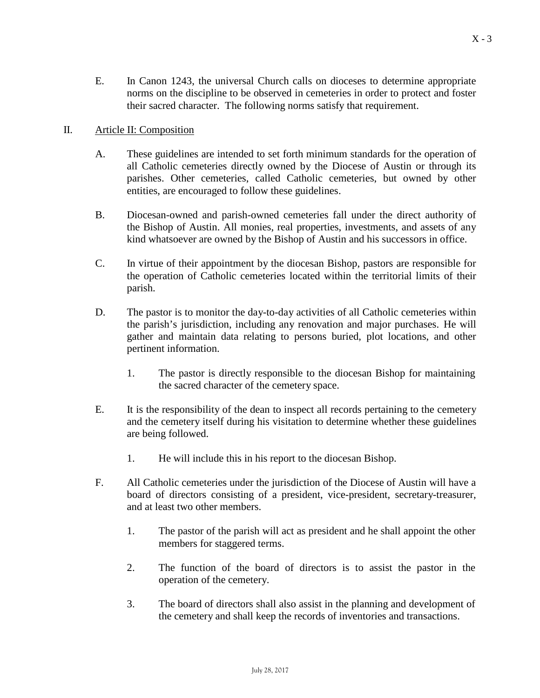E. In Canon 1243, the universal Church calls on dioceses to determine appropriate norms on the discipline to be observed in cemeteries in order to protect and foster their sacred character. The following norms satisfy that requirement.

### II. Article II: Composition

- A. These guidelines are intended to set forth minimum standards for the operation of all Catholic cemeteries directly owned by the Diocese of Austin or through its parishes. Other cemeteries, called Catholic cemeteries, but owned by other entities, are encouraged to follow these guidelines.
- B. Diocesan-owned and parish-owned cemeteries fall under the direct authority of the Bishop of Austin. All monies, real properties, investments, and assets of any kind whatsoever are owned by the Bishop of Austin and his successors in office.
- C. In virtue of their appointment by the diocesan Bishop, pastors are responsible for the operation of Catholic cemeteries located within the territorial limits of their parish.
- D. The pastor is to monitor the day-to-day activities of all Catholic cemeteries within the parish's jurisdiction, including any renovation and major purchases. He will gather and maintain data relating to persons buried, plot locations, and other pertinent information.
	- 1. The pastor is directly responsible to the diocesan Bishop for maintaining the sacred character of the cemetery space.
- E. It is the responsibility of the dean to inspect all records pertaining to the cemetery and the cemetery itself during his visitation to determine whether these guidelines are being followed.
	- 1. He will include this in his report to the diocesan Bishop.
- F. All Catholic cemeteries under the jurisdiction of the Diocese of Austin will have a board of directors consisting of a president, vice-president, secretary-treasurer, and at least two other members.
	- 1. The pastor of the parish will act as president and he shall appoint the other members for staggered terms.
	- 2. The function of the board of directors is to assist the pastor in the operation of the cemetery.
	- 3. The board of directors shall also assist in the planning and development of the cemetery and shall keep the records of inventories and transactions.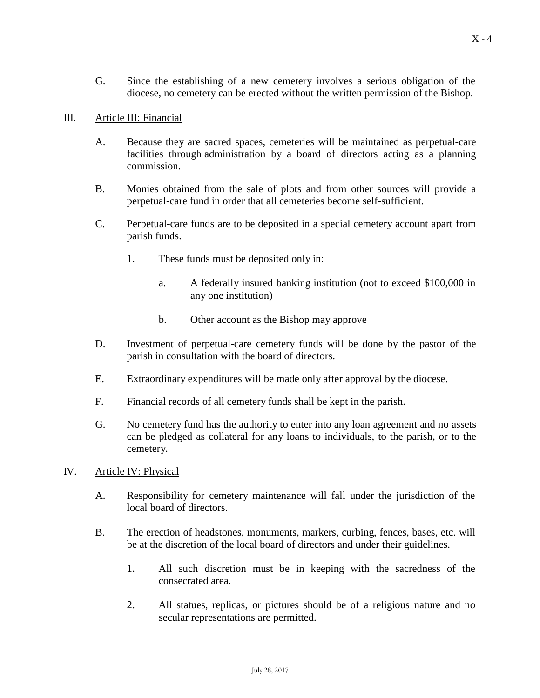G. Since the establishing of a new cemetery involves a serious obligation of the diocese, no cemetery can be erected without the written permission of the Bishop.

#### III. Article III: Financial

- A. Because they are sacred spaces, cemeteries will be maintained as perpetual-care facilities through administration by a board of directors acting as a planning commission.
- B. Monies obtained from the sale of plots and from other sources will provide a perpetual-care fund in order that all cemeteries become self-sufficient.
- C. Perpetual-care funds are to be deposited in a special cemetery account apart from parish funds.
	- 1. These funds must be deposited only in:
		- a. A federally insured banking institution (not to exceed \$100,000 in any one institution)
		- b. Other account as the Bishop may approve
- D. Investment of perpetual-care cemetery funds will be done by the pastor of the parish in consultation with the board of directors.
- E. Extraordinary expenditures will be made only after approval by the diocese.
- F. Financial records of all cemetery funds shall be kept in the parish.
- G. No cemetery fund has the authority to enter into any loan agreement and no assets can be pledged as collateral for any loans to individuals, to the parish, or to the cemetery.
- IV. Article IV: Physical
	- A. Responsibility for cemetery maintenance will fall under the jurisdiction of the local board of directors.
	- B. The erection of headstones, monuments, markers, curbing, fences, bases, etc. will be at the discretion of the local board of directors and under their guidelines.
		- 1. All such discretion must be in keeping with the sacredness of the consecrated area.
		- 2. All statues, replicas, or pictures should be of a religious nature and no secular representations are permitted.